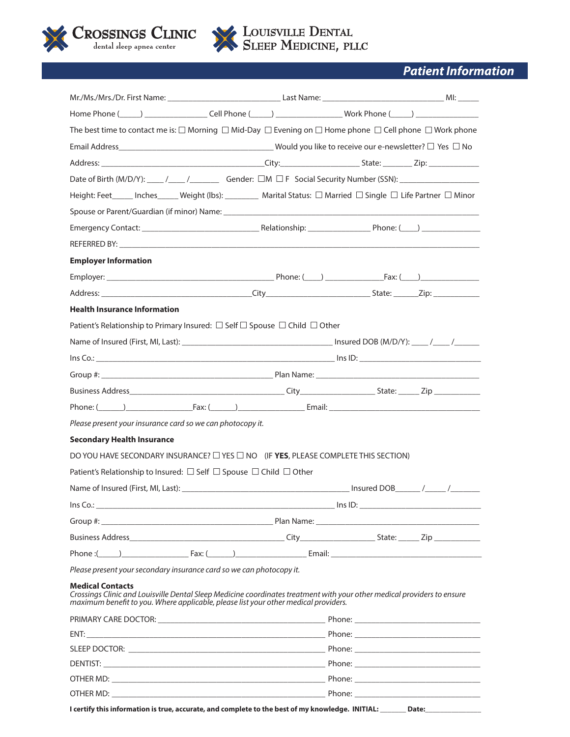

# *Patient Information*

| Home Phone (_____) ____________________Cell Phone (_____) _____________________Work Phone (_____) _________________                                                                                                                       |                       |
|-------------------------------------------------------------------------------------------------------------------------------------------------------------------------------------------------------------------------------------------|-----------------------|
| The best time to contact me is: $\Box$ Morning $\Box$ Mid-Day $\Box$ Evening on $\Box$ Home phone $\Box$ Cell phone $\Box$ Work phone                                                                                                     |                       |
|                                                                                                                                                                                                                                           |                       |
|                                                                                                                                                                                                                                           |                       |
|                                                                                                                                                                                                                                           |                       |
| Height: Feet _____ Inches _____ Weight (lbs): ________ Marital Status: □ Married □ Single □ Life Partner □ Minor                                                                                                                          |                       |
|                                                                                                                                                                                                                                           |                       |
|                                                                                                                                                                                                                                           |                       |
|                                                                                                                                                                                                                                           |                       |
| <b>Employer Information</b>                                                                                                                                                                                                               |                       |
|                                                                                                                                                                                                                                           |                       |
|                                                                                                                                                                                                                                           |                       |
| <b>Health Insurance Information</b>                                                                                                                                                                                                       |                       |
| Patient's Relationship to Primary Insured: □ Self □ Spouse □ Child □ Other                                                                                                                                                                |                       |
|                                                                                                                                                                                                                                           |                       |
|                                                                                                                                                                                                                                           |                       |
|                                                                                                                                                                                                                                           |                       |
|                                                                                                                                                                                                                                           |                       |
|                                                                                                                                                                                                                                           |                       |
| Please present your insurance card so we can photocopy it.                                                                                                                                                                                |                       |
| <b>Secondary Health Insurance</b>                                                                                                                                                                                                         |                       |
| DO YOU HAVE SECONDARY INSURANCE? $\Box$ YES $\Box$ NO (IF YES, PLEASE COMPLETE THIS SECTION)                                                                                                                                              |                       |
| Patient's Relationship to Insured: $\square$ Self $\square$ Spouse $\square$ Child $\square$ Other                                                                                                                                        |                       |
|                                                                                                                                                                                                                                           |                       |
| Ins Co.:                                                                                                                                                                                                                                  | $\frac{1}{2}$ lns ID: |
|                                                                                                                                                                                                                                           |                       |
|                                                                                                                                                                                                                                           |                       |
|                                                                                                                                                                                                                                           |                       |
| Please present your secondary insurance card so we can photocopy it.                                                                                                                                                                      |                       |
| <b>Medical Contacts</b><br>Crossings Clinic and Louisville Dental Sleep Medicine coordinates treatment with your other medical providers to ensure<br>maximum benefit to you. Where applicable, please list your other medical providers. |                       |
|                                                                                                                                                                                                                                           |                       |
|                                                                                                                                                                                                                                           |                       |
|                                                                                                                                                                                                                                           |                       |
|                                                                                                                                                                                                                                           |                       |
|                                                                                                                                                                                                                                           |                       |
|                                                                                                                                                                                                                                           |                       |
| I certify this information is true, accurate, and complete to the best of my knowledge. INITIAL: _______ Date: ______________                                                                                                             |                       |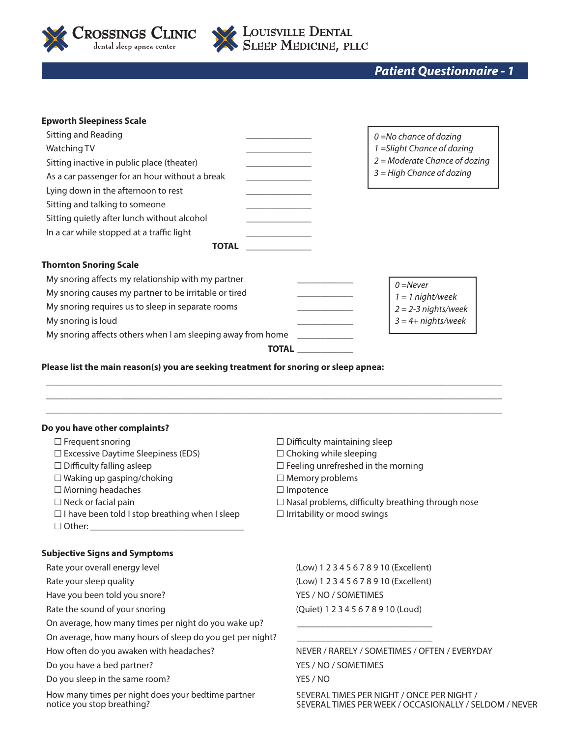

**LOUISVILLE DENTAL<br>• SLEEP MEDICINE, PLLC** 

*Patient Questionnaire - 1*

| <b>Epworth Sleepiness Scale</b>                             |                             |                                 |  |  |
|-------------------------------------------------------------|-----------------------------|---------------------------------|--|--|
| Sitting and Reading                                         | $0 =$ No chance of dozing   |                                 |  |  |
| Watching TV                                                 | 1 = Slight Chance of dozing |                                 |  |  |
| Sitting inactive in public place (theater)                  |                             | $2 =$ Moderate Chance of dozing |  |  |
| As a car passenger for an hour without a break              |                             | $3 =$ High Chance of dozing     |  |  |
| Lying down in the afternoon to rest                         |                             |                                 |  |  |
| Sitting and talking to someone                              |                             |                                 |  |  |
| Sitting quietly after lunch without alcohol                 |                             |                                 |  |  |
| In a car while stopped at a traffic light                   |                             |                                 |  |  |
| <b>TOTAL</b>                                                |                             |                                 |  |  |
| <b>Thornton Snoring Scale</b>                               |                             |                                 |  |  |
| My snoring affects my relationship with my partner          |                             | $0 =$ Never                     |  |  |
| My snoring causes my partner to be irritable or tired       |                             | $1 = 1$ night/week              |  |  |
| My snoring requires us to sleep in separate rooms           |                             | $2 = 2 - 3$ nights/week         |  |  |
| My snoring is loud                                          |                             | $3 = 4 +$ nights/week           |  |  |
| My snoring affects others when I am sleeping away from home |                             |                                 |  |  |
|                                                             | <b>TOTAL</b>                |                                 |  |  |
|                                                             |                             |                                 |  |  |

**Please list the main reason(s) you are seeking treatment for snoring or sleep apnea:** 

### **Do you have other complaints?**

| $\Box$ Frequent snoring                               | $\Box$ Difficulty maintaining sleep                      |
|-------------------------------------------------------|----------------------------------------------------------|
| $\Box$ Excessive Daytime Sleepiness (EDS)             | $\Box$ Choking while sleeping                            |
| $\Box$ Difficulty falling asleep                      | $\Box$ Feeling unrefreshed in the morning                |
| $\Box$ Waking up gasping/choking                      | $\Box$ Memory problems                                   |
| $\Box$ Morning headaches                              | $\Box$ Impotence                                         |
| $\Box$ Neck or facial pain                            | $\Box$ Nasal problems, difficulty breathing through nose |
| $\Box$ I have been told I stop breathing when I sleep | $\Box$ Irritability or mood swings                       |
|                                                       |                                                          |
|                                                       |                                                          |
| <b>Subjective Signs and Symptoms</b>                  |                                                          |
| Rate your overall energy level                        | (Low) 1 2 3 4 5 6 7 8 9 10 (Excellent)                   |
| Rate your sleep quality                               | (Low) 1 2 3 4 5 6 7 8 9 10 (Excellent)                   |
|                                                       |                                                          |

 $\_$  , and the set of the set of the set of the set of the set of the set of the set of the set of the set of the set of the set of the set of the set of the set of the set of the set of the set of the set of the set of th  $\_$  , and the set of the set of the set of the set of the set of the set of the set of the set of the set of the set of the set of the set of the set of the set of the set of the set of the set of the set of the set of th  $\_$  , and the set of the set of the set of the set of the set of the set of the set of the set of the set of the set of the set of the set of the set of the set of the set of the set of the set of the set of the set of th

On average, how many times per night do you wake up?

On average, how many hours of sleep do you get per night?

Do you have a bed partner? VES / NO / SOMETIMES

Do you sleep in the same room? YES / NO

How many times per night does your bedtime partner notice you stop breathing?

Have you been told you snore? YES / NO / SOMETIMES Rate the sound of your snoring (Quiet) 1 2 3 4 5 6 7 8 9 10 (Loud)

How often do you awaken with headaches? NEVER / RARELY / SOMETIMES / OFTEN / EVERYDAY

SEVERAL TIMES PER NIGHT / ONCE PER NIGHT / SEVERAL TIMES PER WEEK / OCCASIONALLY / SELDOM / NEVER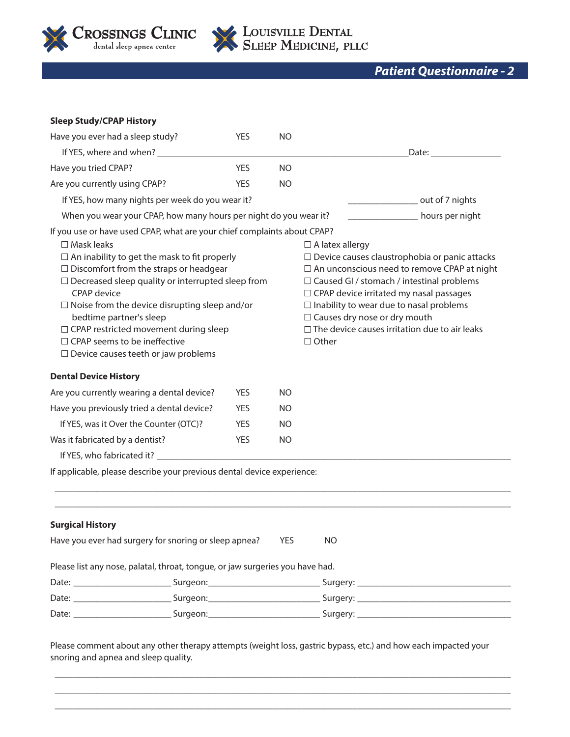

# LOUISVILLE DENTAL

# *Patient Questionnaire - 2*

| <b>Sleep Study/CPAP History</b>                                                                                                                                                                                                                                                                                                                                                                                                                                                                               |            |                                                                                                                |                                                                                                                                                                                                                                                                                                                                                                                                   |  |  |
|---------------------------------------------------------------------------------------------------------------------------------------------------------------------------------------------------------------------------------------------------------------------------------------------------------------------------------------------------------------------------------------------------------------------------------------------------------------------------------------------------------------|------------|----------------------------------------------------------------------------------------------------------------|---------------------------------------------------------------------------------------------------------------------------------------------------------------------------------------------------------------------------------------------------------------------------------------------------------------------------------------------------------------------------------------------------|--|--|
| Have you ever had a sleep study?                                                                                                                                                                                                                                                                                                                                                                                                                                                                              | <b>YES</b> | N <sub>O</sub>                                                                                                 |                                                                                                                                                                                                                                                                                                                                                                                                   |  |  |
| If YES, where and when? __________                                                                                                                                                                                                                                                                                                                                                                                                                                                                            |            |                                                                                                                | Date: ___________                                                                                                                                                                                                                                                                                                                                                                                 |  |  |
| Have you tried CPAP?                                                                                                                                                                                                                                                                                                                                                                                                                                                                                          | <b>YES</b> | <b>NO</b>                                                                                                      |                                                                                                                                                                                                                                                                                                                                                                                                   |  |  |
| Are you currently using CPAP?                                                                                                                                                                                                                                                                                                                                                                                                                                                                                 | <b>YES</b> | <b>NO</b>                                                                                                      |                                                                                                                                                                                                                                                                                                                                                                                                   |  |  |
| If YES, how many nights per week do you wear it?                                                                                                                                                                                                                                                                                                                                                                                                                                                              |            |                                                                                                                | out of 7 nights                                                                                                                                                                                                                                                                                                                                                                                   |  |  |
| When you wear your CPAP, how many hours per night do you wear it?                                                                                                                                                                                                                                                                                                                                                                                                                                             |            |                                                                                                                | hours per night                                                                                                                                                                                                                                                                                                                                                                                   |  |  |
| If you use or have used CPAP, what are your chief complaints about CPAP?<br>$\square$ Mask leaks<br>$\Box$ An inability to get the mask to fit properly<br>$\Box$ Discomfort from the straps or headgear<br>$\Box$ Decreased sleep quality or interrupted sleep from<br><b>CPAP</b> device<br>$\Box$ Noise from the device disrupting sleep and/or<br>bedtime partner's sleep<br>□ CPAP restricted movement during sleep<br>$\Box$ CPAP seems to be ineffective<br>$\Box$ Device causes teeth or jaw problems |            |                                                                                                                | $\Box$ A latex allergy<br>$\Box$ Device causes claustrophobia or panic attacks<br>$\Box$ An unconscious need to remove CPAP at night<br>□ Caused GI / stomach / intestinal problems<br>□ CPAP device irritated my nasal passages<br>$\Box$ Inability to wear due to nasal problems<br>$\Box$ Causes dry nose or dry mouth<br>$\Box$ The device causes irritation due to air leaks<br>$\Box$ Other |  |  |
|                                                                                                                                                                                                                                                                                                                                                                                                                                                                                                               |            |                                                                                                                |                                                                                                                                                                                                                                                                                                                                                                                                   |  |  |
| <b>Dental Device History</b>                                                                                                                                                                                                                                                                                                                                                                                                                                                                                  |            |                                                                                                                |                                                                                                                                                                                                                                                                                                                                                                                                   |  |  |
| Are you currently wearing a dental device?                                                                                                                                                                                                                                                                                                                                                                                                                                                                    | <b>YES</b> | NO                                                                                                             |                                                                                                                                                                                                                                                                                                                                                                                                   |  |  |
| Have you previously tried a dental device?                                                                                                                                                                                                                                                                                                                                                                                                                                                                    | <b>YES</b> | <b>NO</b>                                                                                                      |                                                                                                                                                                                                                                                                                                                                                                                                   |  |  |
| If YES, was it Over the Counter (OTC)?                                                                                                                                                                                                                                                                                                                                                                                                                                                                        | <b>YES</b> | <b>NO</b>                                                                                                      |                                                                                                                                                                                                                                                                                                                                                                                                   |  |  |
| Was it fabricated by a dentist?<br>If YES, who fabricated it? _____________                                                                                                                                                                                                                                                                                                                                                                                                                                   | <b>YES</b> | <b>NO</b>                                                                                                      |                                                                                                                                                                                                                                                                                                                                                                                                   |  |  |
| If applicable, please describe your previous dental device experience:                                                                                                                                                                                                                                                                                                                                                                                                                                        |            |                                                                                                                |                                                                                                                                                                                                                                                                                                                                                                                                   |  |  |
|                                                                                                                                                                                                                                                                                                                                                                                                                                                                                                               |            |                                                                                                                |                                                                                                                                                                                                                                                                                                                                                                                                   |  |  |
| <b>Surgical History</b>                                                                                                                                                                                                                                                                                                                                                                                                                                                                                       |            |                                                                                                                |                                                                                                                                                                                                                                                                                                                                                                                                   |  |  |
| Have you ever had surgery for snoring or sleep apnea?                                                                                                                                                                                                                                                                                                                                                                                                                                                         |            | <b>YES</b>                                                                                                     | <b>NO</b>                                                                                                                                                                                                                                                                                                                                                                                         |  |  |
| Please list any nose, palatal, throat, tongue, or jaw surgeries you have had.                                                                                                                                                                                                                                                                                                                                                                                                                                 |            |                                                                                                                |                                                                                                                                                                                                                                                                                                                                                                                                   |  |  |
|                                                                                                                                                                                                                                                                                                                                                                                                                                                                                                               |            |                                                                                                                |                                                                                                                                                                                                                                                                                                                                                                                                   |  |  |
|                                                                                                                                                                                                                                                                                                                                                                                                                                                                                                               |            | Date: ___________________________Surgeon:_______________________________Surgery: _____________________________ |                                                                                                                                                                                                                                                                                                                                                                                                   |  |  |
| Date: ___________________________Surgeon:_____________________________Surgery: _______________________________                                                                                                                                                                                                                                                                                                                                                                                                |            |                                                                                                                |                                                                                                                                                                                                                                                                                                                                                                                                   |  |  |

Please comment about any other therapy attempts (weight loss, gastric bypass, etc.) and how each impacted your snoring and apnea and sleep quality.

 $\_$  , and the set of the set of the set of the set of the set of the set of the set of the set of the set of the set of the set of the set of the set of the set of the set of the set of the set of the set of the set of th \_\_\_\_\_\_\_\_\_\_\_\_\_\_\_\_\_\_\_\_\_\_\_\_\_\_\_\_\_\_\_\_\_\_\_\_\_\_\_\_\_\_\_\_\_\_\_\_\_\_\_\_\_\_\_\_\_\_\_\_\_\_\_\_\_\_\_\_\_\_\_\_\_\_\_\_\_\_\_\_\_\_\_\_\_\_\_\_\_\_\_\_\_\_\_\_\_\_  $\_$  , and the set of the set of the set of the set of the set of the set of the set of the set of the set of the set of the set of the set of the set of the set of the set of the set of the set of the set of the set of th